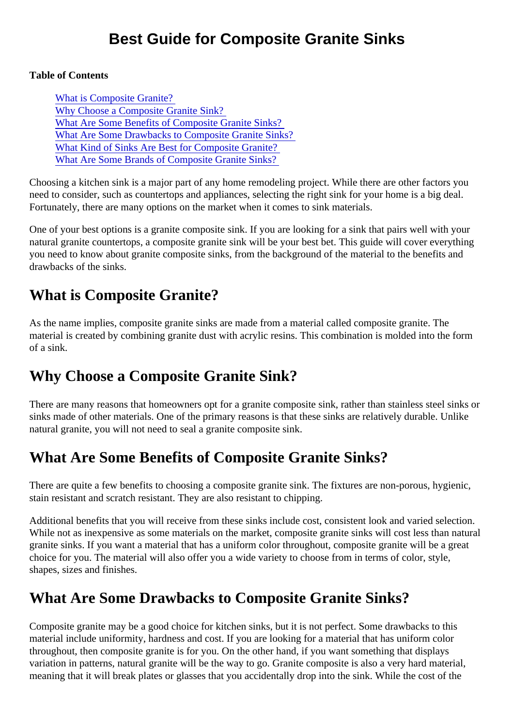Table of Contents

What is Composite Granite? Why Choose a Composite Granite Sink? What Are Some Benefits of Composite Granite Sinks? What Are Some Drawbacks to Composite Granite Sinks? [What Kind of Sinks Are Best for Composite Grani](#page-1-0)te? [What Are Some Brands of Composite Granite Sin](#page-1-0)ks?

Choosing a kitchen sink is a major part of any home remodeling project. While there are other factors you need to consider, such as countertops and appliances, selecting the right sink for your home is a big deal. Fortunately, there are many options on the market when it comes to sink materials.

One of your best options is a granite composite sink. If you are looking for a sink that pairs well with your natural granite countertops, a composite granite sink will be your best bet. This guide will cover everything you need to know about granite composite sinks, from the background of the material to the benefits and drawbacks of the sinks.

#### What is Composite Granite?

As the name implies, composite granite sinks are made from a material called composite granite. The material is created by combining granite dust with acrylic resins. This combination is molded into the form of a sink.

## Why Choose a Composite Granite Sink?

There are many reasons that homeowners opt for a granite composite sink, rather than stainless steel sink sinks made of other materials. One of the primary reasons is that these sinks are relatively durable. Unlike natural granite, you will not need to seal a granite composite sink.

# What Are Some Benefits of Composite Granite Sinks?

There are quite a few benefits to choosing a composite granite sink. The fixtures are non-porous, hygienic, stain resistant and scratch resistant. They are also resistant to chipping.

Additional benefits that you will receive from these sinks include cost, consistent look and varied selection. While not as inexpensive as some materials on the market, composite granite sinks will cost less than nate granite sinks. If you want a material that has a uniform color throughout, composite granite will be a great choice for you. The material will also offer you a wide variety to choose from in terms of color, style, shapes, sizes and finishes.

## What Are Some Drawbacks to Composite Granite Sinks?

Composite granite may be a good choice for kitchen sinks, but it is not perfect. Some drawbacks to this material include uniformity, hardness and cost. If you are looking for a material that has uniform color throughout, then composite granite is for you. On the other hand, if you want something that displays variation in patterns, natural granite will be the way to go. Granite composite is also a very hard material, meaning that it will break plates or glasses that you accidentally drop into the sink. While the cost of the